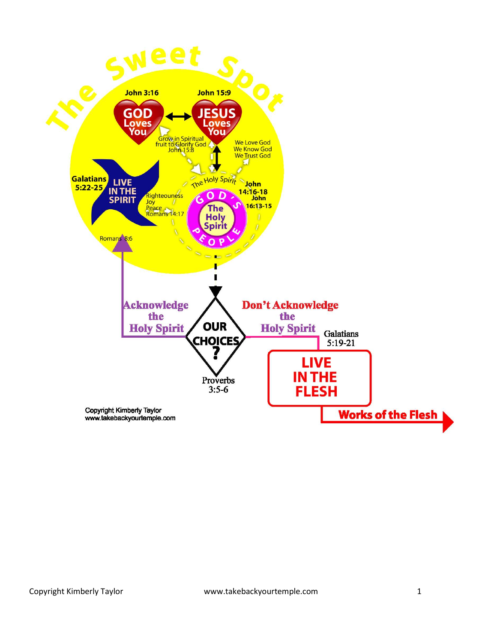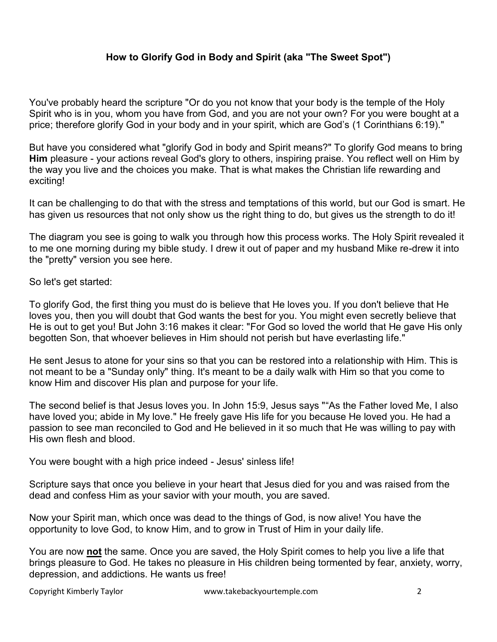## **How to Glorify God in Body and Spirit (aka "The Sweet Spot")**

You've probably heard the scripture "Or do you not know that your body is the temple of the Holy Spirit who is in you, whom you have from God, and you are not your own? For you were bought at a price; therefore glorify God in your body and in your spirit, which are God's (1 Corinthians 6:19)."

But have you considered what "glorify God in body and Spirit means?" To glorify God means to bring **Him** pleasure - your actions reveal God's glory to others, inspiring praise. You reflect well on Him by the way you live and the choices you make. That is what makes the Christian life rewarding and exciting!

It can be challenging to do that with the stress and temptations of this world, but our God is smart. He has given us resources that not only show us the right thing to do, but gives us the strength to do it!

The diagram you see is going to walk you through how this process works. The Holy Spirit revealed it to me one morning during my bible study. I drew it out of paper and my husband Mike re-drew it into the "pretty" version you see here.

So let's get started:

To glorify God, the first thing you must do is believe that He loves you. If you don't believe that He loves you, then you will doubt that God wants the best for you. You might even secretly believe that He is out to get you! But John 3:16 makes it clear: "For God so loved the world that He gave His only begotten Son, that whoever believes in Him should not perish but have everlasting life."

He sent Jesus to atone for your sins so that you can be restored into a relationship with Him. This is not meant to be a "Sunday only" thing. It's meant to be a daily walk with Him so that you come to know Him and discover His plan and purpose for your life.

The second belief is that Jesus loves you. In John 15:9, Jesus says ""As the Father loved Me, I also have loved you; abide in My love." He freely gave His life for you because He loved you. He had a passion to see man reconciled to God and He believed in it so much that He was willing to pay with His own flesh and blood.

You were bought with a high price indeed - Jesus' sinless life!

Scripture says that once you believe in your heart that Jesus died for you and was raised from the dead and confess Him as your savior with your mouth, you are saved.

Now your Spirit man, which once was dead to the things of God, is now alive! You have the opportunity to love God, to know Him, and to grow in Trust of Him in your daily life.

You are now **not** the same. Once you are saved, the Holy Spirit comes to help you live a life that brings pleasure to God. He takes no pleasure in His children being tormented by fear, anxiety, worry, depression, and addictions. He wants us free!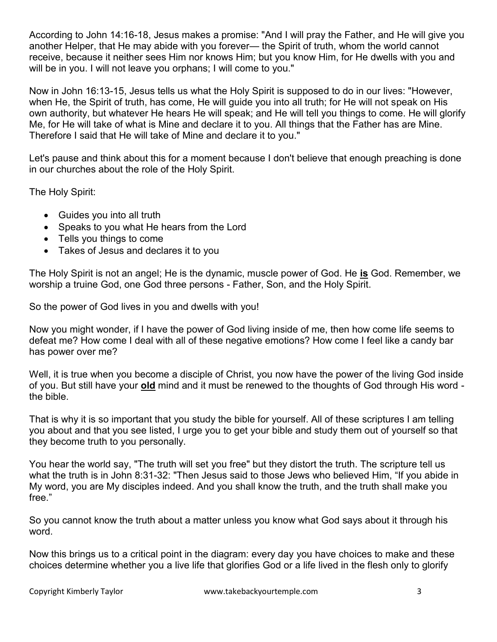According to John 14:16-18, Jesus makes a promise: "And I will pray the Father, and He will give you another Helper, that He may abide with you forever— the Spirit of truth, whom the world cannot receive, because it neither sees Him nor knows Him; but you know Him, for He dwells with you and will be in you. I will not leave you orphans; I will come to you."

Now in John 16:13-15, Jesus tells us what the Holy Spirit is supposed to do in our lives: "However, when He, the Spirit of truth, has come, He will guide you into all truth; for He will not speak on His own authority, but whatever He hears He will speak; and He will tell you things to come. He will glorify Me, for He will take of what is Mine and declare it to you. All things that the Father has are Mine. Therefore I said that He will take of Mine and declare it to you."

Let's pause and think about this for a moment because I don't believe that enough preaching is done in our churches about the role of the Holy Spirit.

The Holy Spirit:

- Guides you into all truth
- Speaks to you what He hears from the Lord
- Tells you things to come
- Takes of Jesus and declares it to you

The Holy Spirit is not an angel; He is the dynamic, muscle power of God. He **is** God. Remember, we worship a truine God, one God three persons - Father, Son, and the Holy Spirit.

So the power of God lives in you and dwells with you!

Now you might wonder, if I have the power of God living inside of me, then how come life seems to defeat me? How come I deal with all of these negative emotions? How come I feel like a candy bar has power over me?

Well, it is true when you become a disciple of Christ, you now have the power of the living God inside of you. But still have your **old** mind and it must be renewed to the thoughts of God through His word the bible.

That is why it is so important that you study the bible for yourself. All of these scriptures I am telling you about and that you see listed, I urge you to get your bible and study them out of yourself so that they become truth to you personally.

You hear the world say, "The truth will set you free" but they distort the truth. The scripture tell us what the truth is in John 8:31-32: "Then Jesus said to those Jews who believed Him, "If you abide in My word, you are My disciples indeed. And you shall know the truth, and the truth shall make you free."

So you cannot know the truth about a matter unless you know what God says about it through his word.

Now this brings us to a critical point in the diagram: every day you have choices to make and these choices determine whether you a live life that glorifies God or a life lived in the flesh only to glorify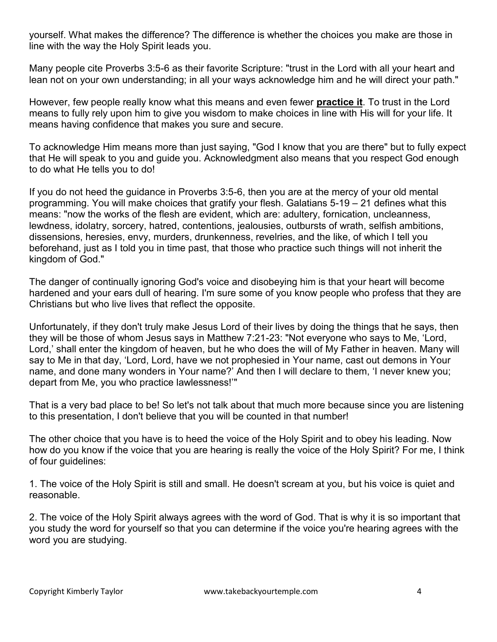yourself. What makes the difference? The difference is whether the choices you make are those in line with the way the Holy Spirit leads you.

Many people cite Proverbs 3:5-6 as their favorite Scripture: "trust in the Lord with all your heart and lean not on your own understanding; in all your ways acknowledge him and he will direct your path."

However, few people really know what this means and even fewer **practice it**. To trust in the Lord means to fully rely upon him to give you wisdom to make choices in line with His will for your life. It means having confidence that makes you sure and secure.

To acknowledge Him means more than just saying, "God I know that you are there" but to fully expect that He will speak to you and guide you. Acknowledgment also means that you respect God enough to do what He tells you to do!

If you do not heed the guidance in Proverbs 3:5-6, then you are at the mercy of your old mental programming. You will make choices that gratify your flesh. Galatians 5-19 – 21 defines what this means: "now the works of the flesh are evident, which are: adultery, fornication, uncleanness, lewdness, idolatry, sorcery, hatred, contentions, jealousies, outbursts of wrath, selfish ambitions, dissensions, heresies, envy, murders, drunkenness, revelries, and the like, of which I tell you beforehand, just as I told you in time past, that those who practice such things will not inherit the kingdom of God."

The danger of continually ignoring God's voice and disobeying him is that your heart will become hardened and your ears dull of hearing. I'm sure some of you know people who profess that they are Christians but who live lives that reflect the opposite.

Unfortunately, if they don't truly make Jesus Lord of their lives by doing the things that he says, then they will be those of whom Jesus says in Matthew 7:21-23: "Not everyone who says to Me, 'Lord, Lord,' shall enter the kingdom of heaven, but he who does the will of My Father in heaven. Many will say to Me in that day, 'Lord, Lord, have we not prophesied in Your name, cast out demons in Your name, and done many wonders in Your name?' And then I will declare to them, 'I never knew you; depart from Me, you who practice lawlessness!'"

That is a very bad place to be! So let's not talk about that much more because since you are listening to this presentation, I don't believe that you will be counted in that number!

The other choice that you have is to heed the voice of the Holy Spirit and to obey his leading. Now how do you know if the voice that you are hearing is really the voice of the Holy Spirit? For me, I think of four guidelines:

1. The voice of the Holy Spirit is still and small. He doesn't scream at you, but his voice is quiet and reasonable.

2. The voice of the Holy Spirit always agrees with the word of God. That is why it is so important that you study the word for yourself so that you can determine if the voice you're hearing agrees with the word you are studying.